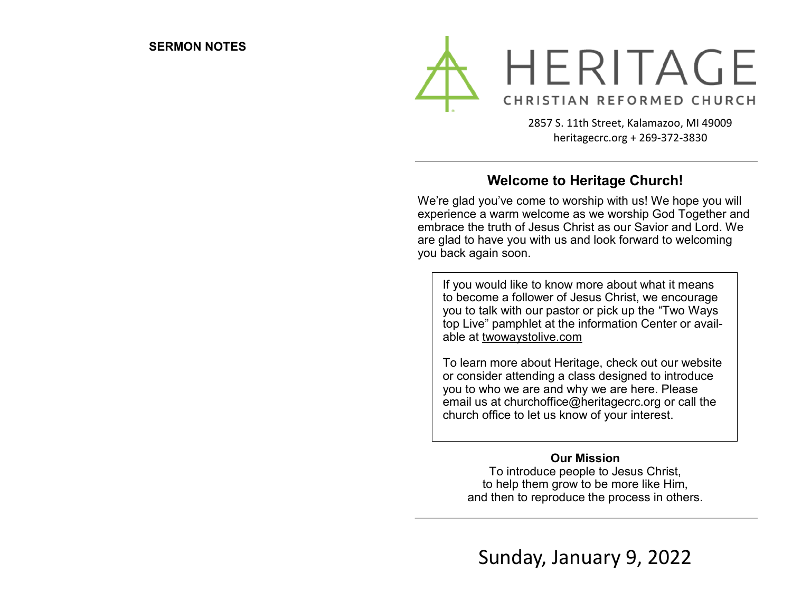

2857 S. 11th Street, Kalamazoo, MI 49009 heritagecrc.org + 269-372-3830

### **Welcome to Heritage Church!**

We're glad you've come to worship with us! We hope you will experience a warm welcome as we worship God Together and embrace the truth of Jesus Christ as our Savior and Lord. We are glad to have you with us and look forward to welcoming you back again soon.

If you would like to know more about what it means to become a follower of Jesus Christ, we encourage you to talk with our pastor or pick up the "Two Ways top Live" pamphlet at the information Center or available at twowaystolive.com

To learn more about Heritage, check out our website or consider attending a class designed to introduce you to who we are and why we are here. Please email us at churchoffice@heritagecrc.org or call the church office to let us know of your interest.

### **Our Mission**

To introduce people to Jesus Christ, to help them grow to be more like Him, and then to reproduce the process in others.

Sunday, January 9, 2022